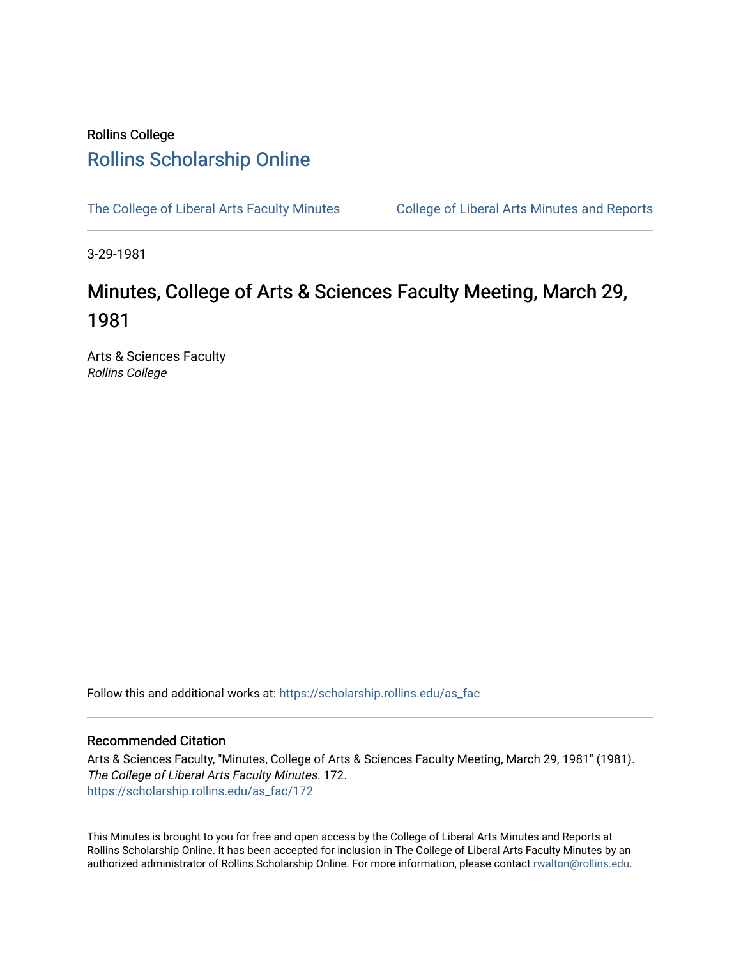### Rollins College [Rollins Scholarship Online](https://scholarship.rollins.edu/)

[The College of Liberal Arts Faculty Minutes](https://scholarship.rollins.edu/as_fac) College of Liberal Arts Minutes and Reports

3-29-1981

## Minutes, College of Arts & Sciences Faculty Meeting, March 29, 1981

Arts & Sciences Faculty Rollins College

Follow this and additional works at: [https://scholarship.rollins.edu/as\\_fac](https://scholarship.rollins.edu/as_fac?utm_source=scholarship.rollins.edu%2Fas_fac%2F172&utm_medium=PDF&utm_campaign=PDFCoverPages) 

### Recommended Citation

Arts & Sciences Faculty, "Minutes, College of Arts & Sciences Faculty Meeting, March 29, 1981" (1981). The College of Liberal Arts Faculty Minutes. 172. [https://scholarship.rollins.edu/as\\_fac/172](https://scholarship.rollins.edu/as_fac/172?utm_source=scholarship.rollins.edu%2Fas_fac%2F172&utm_medium=PDF&utm_campaign=PDFCoverPages) 

This Minutes is brought to you for free and open access by the College of Liberal Arts Minutes and Reports at Rollins Scholarship Online. It has been accepted for inclusion in The College of Liberal Arts Faculty Minutes by an authorized administrator of Rollins Scholarship Online. For more information, please contact [rwalton@rollins.edu](mailto:rwalton@rollins.edu).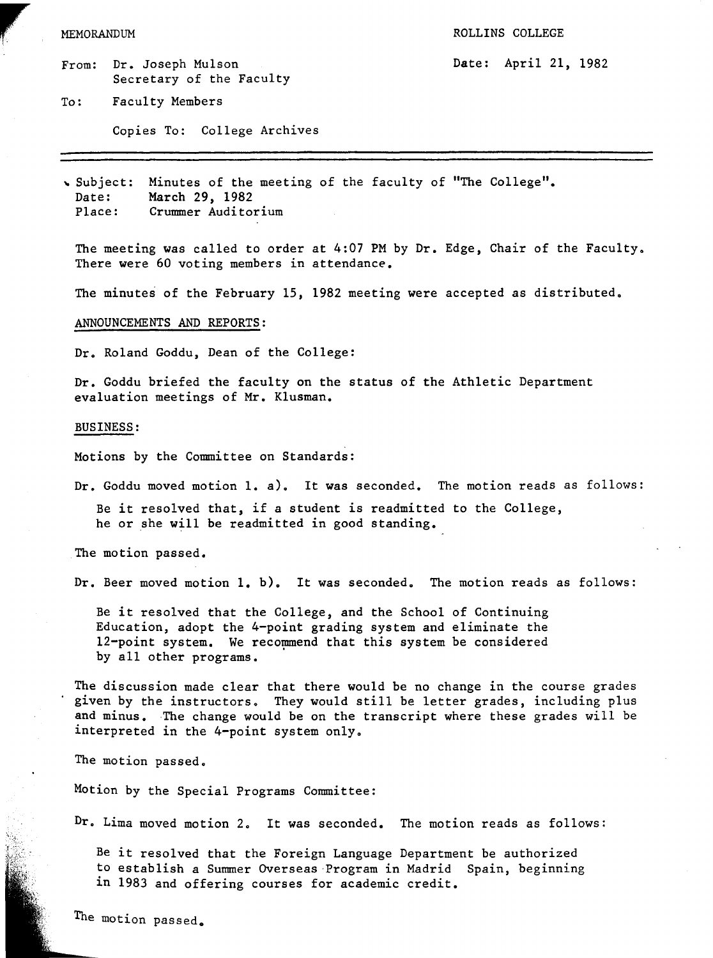# MEMORANDUM

- From: Dr. Joseph Mulson Secretary of the Faculty
- To: Faculty Members

Copies To: College Archives

Date: April 21, 1982

" Subject: Date: Minutes of the meeting of the faculty of "The College". March 29, 1982 Place: Crummer Auditorium

The meeting was called to order at 4:07 PM by Dr. Edge, Chair of the Faculty. There were 60 voting members in attendance.

The minutes of the February 15, 1982 meeting were accepted as distributed.

### ANNOUNCEMENTS AND REPORTS:

Dr. Roland Goddu, Dean of the College:

Dr. Goddu briefed the faculty on the status of the Athletic Department evaluation meetings of Mr. Klusman.

#### BUSINESS:

Motions by the Committee on Standards:

Dr. Goddu moved motion 1. a). It was seconded. The motion reads as follows:

Be it resolved that, if a student is readmitted to the College, he or she will be readmitted in good standing.

The motion passed.

Dr. Beer moved motion 1. b). It was seconded. The motion reads as follows:

Be it resolved that the College, and the School of Continuing Education, adopt the 4-point grading system and eliminate the 12-point system. We recommend that this system be considered by all other programs.

The discussion made clear that there would be no change in the course grades given by the instructors. They would still be letter grades, including plus and minus. The change would be on the transcript where these grades will be interpreted in the 4-point system only.

The motion passed.

Motion by the Special Programs Committee:

Dr. Lima moved motion 2. It was seconded. The motion reads as follows:

Be it resolved that the Foreign Language Department be authorized to establish a Summer Overseas -Program in Madrid Spain, beginning in 1983 and offering courses for academic credit.

The motion passed.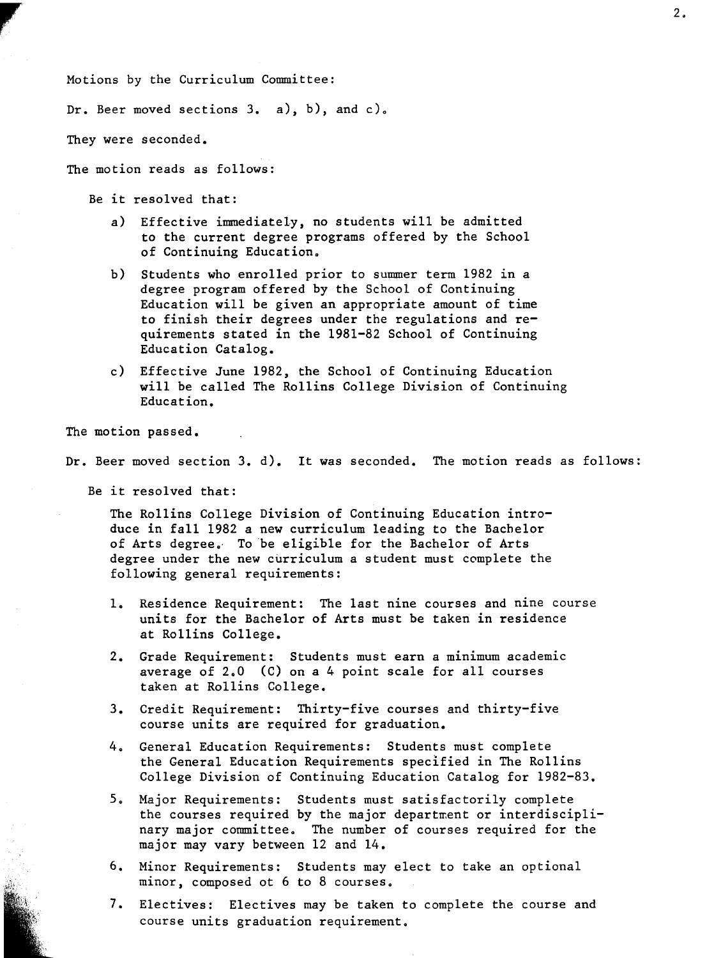Motions by the Curriculum Committee:

Dr. Beer moved sections 3. a), b), and c).

They were seconded.

**reduced** 

The motion reads as follows:

- Be it resolved that:
	- a) Effective immediately, no students will be admitted to the current degree programs offered by the School of Continuing Education.
	- b) Students who enrolled prior to summer term 1982 in a degree program offered by the School of Continuing Education will be given an appropriate amount of time to finish their degrees under the regulations and requirements stated in the 1981-82 School of Continuing Education Catalog.
	- c) Effective June 1982, the School of Continuing Education will be called The Rollins College Division of Continuing Education.

The motion passed.

Dr. Beer moved section 3. d). It was seconded. The motion reads as follows:

Be it resolved that:

The Rollins College Division of Continuing Education introduce in fall 1982 a new curriculum leading to the Bachelor of Arts degree. To be eligible for the Bachelor of Arts degree under the new curriculum a student must complete the following general requirements:

- 1. Residence Requirement: The last nine courses and nine course units for the Bachelor of Arts must be taken in residence at Rollins College.
- 2. Grade Requirement: Students must earn a minimum academic average of 2.0 (C) on a 4 point scale for all courses taken at Rollins College.
- 3. Credit Requirement: Thirty-five courses and thirty-five course units are required for graduation.
- 4. General Education Requirements: Students must complete the General Education Requirements specified in The Rollins College Division of Continuing Education Catalog for 1982-83.
- 5. Major Requirements: Students must satisfactorily complete the courses required by the major department or interdisciplinary major committee. The number of courses required for the major may vary between 12 and 14.
- 6. Minor Requirements: Students may elect to take an optional minor, composed ot 6 to 8 courses.
- 7. Electives: Electives may be taken to complete the course and course units graduation requirement.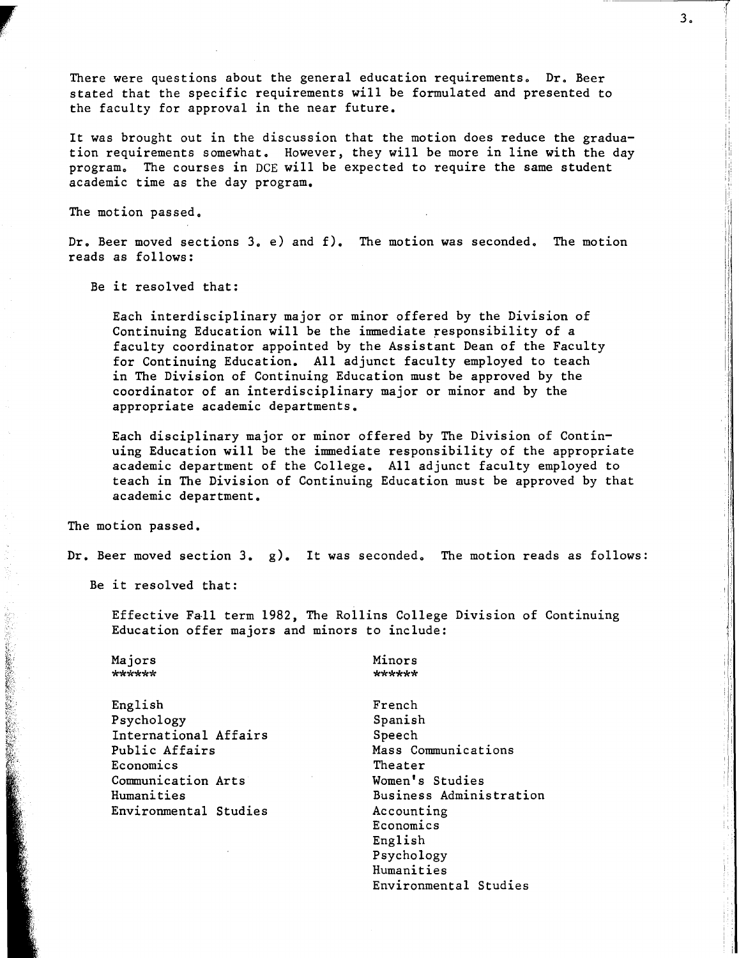There were questions about the general education requirements. Dr. Beer stated that the specific requirements **will** be formulated and presented to the faculty for approval in the near future.

It was brought out in the discussion that the motion does reduce the graduation requirements somewhat. However, they will be more in line with the day program. The courses in DCE will be expected to require the same student academic time as the day program.

The motion passed.

**r** 

Dr. Beer moved sections 3. e) and f). The motion was seconded. The motion reads as follows:

Be it resolved that:

Each interdisciplinary major or minor offered by the Division of Continuing Education will be the immediate responsibility of a faculty coordinator appointed by the Assistant Dean of the Faculty for Continuing Education. All adjunct faculty employed to teach in The Division of Continuing Education must be approved by the coordinator of an interdisciplinary major or minor and by the appropriate academic departments.

Each disciplinary major or minor offered by The Division of Continuing Education will be the immediate responsibility of the appropriate academic department of the College. All adjunct faculty employed to teach in The Division of Continuing Education must be approved by that academic department.

The motion passed.

Dr. Beer moved section 3. g). It was seconded. The motion reads as follows:

Be it resolved that:

Effective Fall term 1982, The Rollins College Division of Continuing Education offer majors and minors to include:

Majors \*\*\*\*\*\*

English Psychology International Affairs Public Affairs Economics Communication Arts Humanities Environmental Studies Minors \*\*\*\*\*\*

French Spanish Speech Mass Communications Theater Women's Studies Business Administration Accounting Economics English Psychology Humanities Environmental Studies

'I 1· I ,